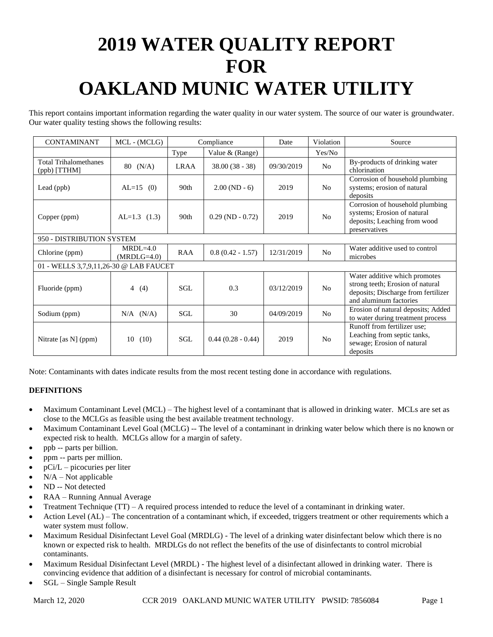# **2019 WATER QUALITY REPORT FOR OAKLAND MUNIC WATER UTILITY**

This report contains important information regarding the water quality in our water system. The source of our water is groundwater. Our water quality testing shows the following results:

| <b>CONTAMINANT</b>                           | MCL - (MCLG)                | Compliance  |                      | Date       | Violation      | Source                                                                                                                             |
|----------------------------------------------|-----------------------------|-------------|----------------------|------------|----------------|------------------------------------------------------------------------------------------------------------------------------------|
|                                              |                             | Type        | Value & (Range)      |            | Yes/No         |                                                                                                                                    |
| <b>Total Trihalomethanes</b><br>(ppb) [TTHM] | (N/A)<br>80                 | <b>LRAA</b> | $38.00(38 - 38)$     | 09/30/2019 | N <sub>o</sub> | By-products of drinking water<br>chlorination                                                                                      |
| Lead (ppb)                                   | $AL=15$ (0)                 | 90th        | $2.00(ND-6)$         | 2019       | N <sub>o</sub> | Corrosion of household plumbing<br>systems; erosion of natural<br>deposits                                                         |
| Copper (ppm)                                 | $AL=1.3$ (1.3)              | 90th        | $0.29$ (ND $-0.72$ ) | 2019       | N <sub>0</sub> | Corrosion of household plumbing<br>systems; Erosion of natural<br>deposits; Leaching from wood<br>preservatives                    |
| 950 - DISTRIBUTION SYSTEM                    |                             |             |                      |            |                |                                                                                                                                    |
| Chlorine (ppm)                               | $MRDL=4.0$<br>$(MRDLG=4.0)$ | <b>RAA</b>  | $0.8(0.42 - 1.57)$   | 12/31/2019 | N <sub>o</sub> | Water additive used to control<br>microbes                                                                                         |
| 01 - WELLS 3,7,9,11,26-30 @ LAB FAUCET       |                             |             |                      |            |                |                                                                                                                                    |
| Fluoride (ppm)                               | (4)<br>$\overline{4}$       | SGL.        | 0.3                  | 03/12/2019 | N <sub>o</sub> | Water additive which promotes<br>strong teeth; Erosion of natural<br>deposits; Discharge from fertilizer<br>and aluminum factories |
| Sodium (ppm)                                 | $N/A$ $(N/A)$               | <b>SGL</b>  | 30                   | 04/09/2019 | N <sub>0</sub> | Erosion of natural deposits; Added<br>to water during treatment process                                                            |
| Nitrate [as N] (ppm)                         | 10<br>(10)                  | SGL         | $0.44(0.28 - 0.44)$  | 2019       | N <sub>o</sub> | Runoff from fertilizer use;<br>Leaching from septic tanks,<br>sewage; Erosion of natural<br>deposits                               |

Note: Contaminants with dates indicate results from the most recent testing done in accordance with regulations.

# **DEFINITIONS**

- Maximum Contaminant Level (MCL) The highest level of a contaminant that is allowed in drinking water. MCLs are set as close to the MCLGs as feasible using the best available treatment technology.
- Maximum Contaminant Level Goal (MCLG) -- The level of a contaminant in drinking water below which there is no known or expected risk to health. MCLGs allow for a margin of safety.
- ppb -- parts per billion.
- ppm -- parts per million.
- $pCi/L$  picocuries per liter
- $N/A Not$  applicable
- ND -- Not detected
- RAA Running Annual Average
- Treatment Technique (TT) A required process intended to reduce the level of a contaminant in drinking water.
- Action Level (AL) The concentration of a contaminant which, if exceeded, triggers treatment or other requirements which a water system must follow.
- Maximum Residual Disinfectant Level Goal (MRDLG) The level of a drinking water disinfectant below which there is no known or expected risk to health. MRDLGs do not reflect the benefits of the use of disinfectants to control microbial contaminants.
- Maximum Residual Disinfectant Level (MRDL) The highest level of a disinfectant allowed in drinking water. There is convincing evidence that addition of a disinfectant is necessary for control of microbial contaminants.
- SGL Single Sample Result